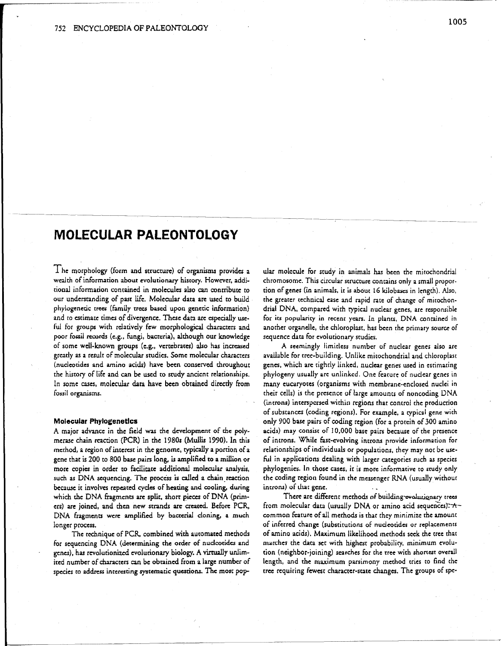# **MOLECULAR PALEONTOLOGY**

I he morphology (form and structure) of organisms provides a wealth of information about evolutionary history. However, additional information contained in molecules also can contribute to our understanding of past life. Molecular data are used to build phylogenetic trees (family trees based upon genetic information) and to estimate times of divergence. These data are especially useful for groups with relatively few morphological characters and poor fossil records (e.g., fungi, bacteria), although our knowledge of some well-known groups (e.g., vertebrates) also has increased greatly as a result of molecular studies. Some molecular characters (nucleotides and amino acids) have been conserved throughout the history of life and can be used to study ancient relationships. In some cases, molecular data have been obtained directly from fossil organisms.

### **Molecular Phylogenetics**

A major advance in the field was the development of the polymerase chain reaction (PCR) in the 1980s (Mullis 1990). In this method, a region of interest in the genome, typically a portion of a gene that is 200 to 800 base pairs long, is amplified to a million or more copies in order to facilitate additional molecular analysis. such as DNA sequencing. The process is called a chain reaction because it involves repeated cycles of heating and cooling, during which the DNA fragments are split, short pieces of DNA (primers) are joined, and then new strands are created. Before PCR, DNA fragments were amplified by bacterial cloning, a much longer process.

The rechnique of PCR, combined with automated methods for sequencing DNA (determining the order of nucleotides and genes), has revolutionized evolutionary biology. A virtually unlimited number of characters can be obtained from a large number of species to address interesting systematic questions. The most pop-

ular molecule for study in animals has been the mitochondrial chromosome. This circular structure contains only a small proportion of genes (in animals, it is about 16 kilobases in length). Also, the greater technical ease and rapid rate of change of mitochondrial DNA, compared with typical nuclear genes, are responsible for its popularity in recent years. In plants, DNA contained in another organelle, the chloroplast, has been the primary source of sequence data for evolutionary studies.

A seemingly limitless number of nuclear genes also are available for tree-building. Unlike mitochondrial and chloroplast genes, which are tightly linked, nuclear genes used in estimating phylogeny usually are unlinked. One feature of nuclear genes in many eucaryotes (organisms with membrane-enclosed nuclei in their cells) is the presence of large amounts of noncoding DNA (introns) interspersed within regions that control the production of substances (coding regions). For example, a typical gene with only 900 base pairs of coding region (for a protein of 300 amino acids) may consist of 10,000 base pairs because of the presence of introns. While fast-evolving introns provide information for relationships of individuals or populations, they may not be useful in applications dealing with larger categories such as species phylogenies. In those cases, it is more informative to study only the coding region found in the messenger RNA (usually without introns) of that gene.

There are different methods of building evolutionary trees from molecular data (usually DNA or amino acid sequences).  $\star$  common feature of all methods is that they minimize the amount of inferred change (substitutions of nucleotides or replacements of amino acids). Maximum likelihood methods seek the tree that marches the data set with highest probability, minimum evolution (neighbor-joining) searches for the tree with shortest overall length, and the maximum parsimony method tries to find the tree requiring fewest character-state changes. The groups of spe-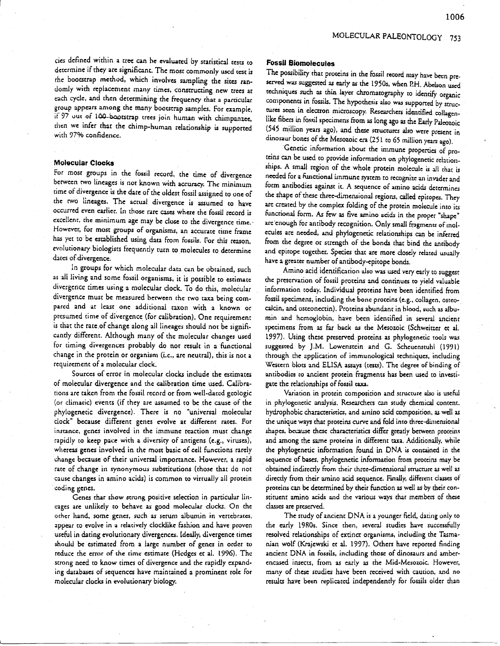## MOLECULAR PALEONTOLOGY 753

cies defined within a tree can he evaluated by staeistical tests to determine if they are significant. The most commonly used test is rhe bootstrap method. which involves sampling che sites randomly with replacement many times, constructing new trees at each cycle, and then determining the frequency that a particular group appears among the many bootstrap sam pies. For example. if 97 out of 100-bootstrap trees join human with chimpanzee, chen we infer chat the chimp-human relationship is supported with 97% confidence.

### **Molecular Clocks**

For most groups in the fossil record, the time of divergence between two lineages is not known with accuracy. The minimum cime of divergence is the dare of the oldest fossil assigned to one of che rwo lineages. The actual divergence is assumed co have occurred even earlier. In those rare cases where the fossil record *is*  excellent. the minimum age may be close to rhe divergence time.' However, for most groups of organisms, an accurate time frame has yet to be established using data from fossils. For this reason, evolutionary biologists frequendy rurn to molecules to determine dates of-divergence.

In groups for which molecular data can be obtained, such as all living and some fossil organisms, it is possible to estimate divergence rimes using a molecular dock. To do this. molecular divergence must be measured between the two taxa being compared and at least one additional taxon with a known or presumed time of divergence (for calibration). One requirement is that the rate of change along all lineages should not be significantly different. Although many of the molecular changes used for timing divergences probably do nor result in a functional change in the protein or organism (i.e., are neutral), this is not a requirement of a molecular clock.

Sources of error in molecular clocks include the estimates of molecular divergence and the calibration time used. Calibrations are taken from rhe fossil record or from well-dated geologic (or climatic) events (if they are assumed to be the cause of the phylogenetic divergence). There is no "universal molecular dock" because different genes evolve ae different rates. For instance, genes involved in the immune reaction must change rapidly to keep pace with a diversity of antigens (e.g., viruses), whereas genes involved in the most basic of cell functions rarely change because of their universal importance. However, a rapid rate of change in synonymous substitutions (those thac do not cause changes in amino acids) is common to virtually all protein coding genes.

Genes char show strong positive selection in particular lineages are unlikely to behave as good molecular clocks. On the other hand, some genes, such as serum albumin in vertebrates, appear to evolve in a relatively clocklike fashion and have proven useful in dating evolutionary divergences. Ideally. divergence cimes should be estimated from a large number of genes in order to reduce the error of the time estimate (Hedges et al. 1996). The strong need to know times of divergence and the rapidly expanding databases of sequences have maintained a prominent role for molecular docks in evolutionary biology.

### **Fossil Biomolecules**

The possibility that proteins in the fossil record may have been pre. served was suggested as early as the 1950s, when P.H. Abelson used techniques such as thin layer chromatography to identify organic components in fossils. The hypothesis also was supported by structures seen in electron microscopy. Researchers identified collagenlike fibers in fossil specimens from as long ago as the Early Paleozoic (545 million years ago), and these structures also were present in dinosaur bones of the Mesozoic era (251 to 65 million years ago).

. Genetic informacion about the immune properties of proteins can be used to provide information on phylogenetic relationships. A small region of the whole protein molecule is all chat is needed for a functional immune system to recognize an invader and form antibodies against it. A sequence of amino acids determines the shape of these three-dimensional regions, called epitopes. They are created by the complex folding of the protein molecule into its functional form. As few as five amino acids in the proper "shape" are enough for antibody recognition. Only small fragments of molecules are needed, and phylogenetic relationships can be inferred from the degree or strength of the bonds that bind the anribody and epirope together. Species that are more closely related usually have a greater number of antibody-epitope bonds.

Amino acid identification also was used very early to suggest the preservation of fossil proteins and conrinues to yield valuable information today. Individual proteins have been identified from fossil specimens, including the bone proteins (e.g., collagen, osteocalcin, and osteonectin). Proteins abundant in blood. such as albumin and hemoglobin, have been identified in several ancient specimens from as far back as the Mesozoic (Schweitzer et al. 1997). Using these preserved proteins as phylogenetic tools was suggested by J.M. Lowenstein and G. Scheuenstuhl (1991) through the application of immunologial techniques, including Western blots and ELISA assays (tests). The degree of binding of antibodies co ancient protein fragments has been used co investigate the relationships of fossil taxa.

Variation in protein composition and structure also is useful in phylogenetic analysis. Researchers can study chemical coment. hydrophobic characteristics, and amino acid composition, as well as the unique ways that proteins curve and fold into three-dimensional shapes, because these characteristics differ greatly between proteins and among the same proteins in different raxa. Additionally, while the phylogenetic information found in DNA is contained in the sequence of bases, phylogenetic information from proteins may be obtained indirectly from their three-dimensional srrucrure as well as directly from their amino acid sequence. Finally, different classes of proteins can be determined by their function as well as by their constituent amino acids and the various ways that members of these classes are preserved.

The study of ancienr DNA is a younger ficld, dating only co the early 1980s. Since then, several studies have successfully resolved relationships of extinct organisms. including the Tasmanian wolf (Krajewski et aI. 1997). Others have reporeed finding ancient DNA in fossils, including those of dinosaurs and amberencased insects, from as early as the Mid-Mesozoic. However, many of these studies have been received with caution, and no results have been replicated independently for fossils older than